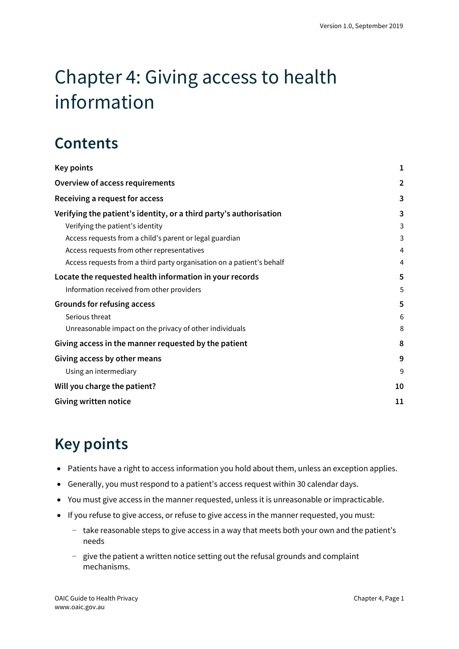# Chapter 4: Giving access to health information

## **Contents**

| <b>Key points</b>                                                     | 1              |
|-----------------------------------------------------------------------|----------------|
| <b>Overview of access requirements</b>                                | $\overline{2}$ |
| Receiving a request for access                                        | 3              |
| Verifying the patient's identity, or a third party's authorisation    | 3              |
| Verifying the patient's identity                                      | 3              |
| Access requests from a child's parent or legal guardian               | 3              |
| Access requests from other representatives                            | 4              |
| Access requests from a third party organisation on a patient's behalf | 4              |
| Locate the requested health information in your records               | 5              |
| Information received from other providers                             | 5              |
| Grounds for refusing access                                           | 5              |
| Serious threat                                                        | 6              |
| Unreasonable impact on the privacy of other individuals               | 8              |
| Giving access in the manner requested by the patient                  | 8              |
| Giving access by other means                                          | 9              |
| Using an intermediary                                                 | 9              |
| Will you charge the patient?                                          | 10             |
| Giving written notice                                                 | 11             |

## <span id="page-0-0"></span>**Key points**

- Patients have a right to access information you hold about them, unless an exception applies.
- Generally, you must respond to a patient's access request within 30 calendar days.
- You must give access in the manner requested, unless it is unreasonable or impracticable.
- If you refuse to give access, or refuse to give access in the manner requested, you must:
	- − take reasonable steps to give access in a way that meets both your own and the patient's needs
	- − give the patient a written notice setting out the refusal grounds and complaint mechanisms.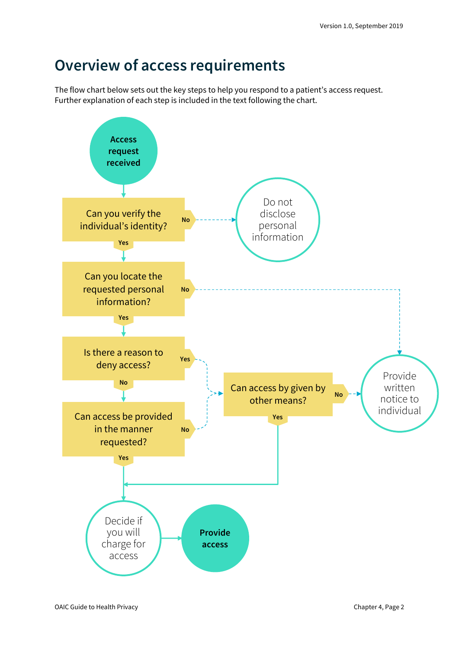## <span id="page-1-0"></span>**Overview of access requirements**

The flow chart below sets out the key steps to help you respond to a patient's access request. Further explanation of each step is included in the text following the chart.

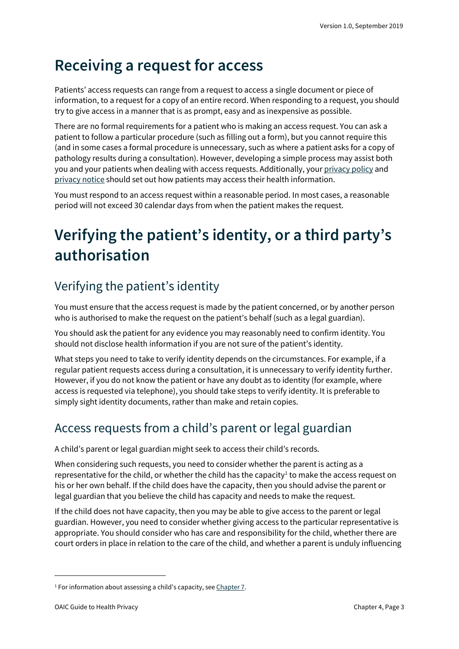## <span id="page-2-0"></span>**Receiving a request for access**

Patients' access requests can range from a request to access a single document or piece of information, to a request for a copy of an entire record. When responding to a request, you should try to give access in a manner that is as prompt, easy and as inexpensive as possible.

There are no formal requirements for a patient who is making an access request. You can ask a patient to follow a particular procedure (such as filling out a form), but you cannot require this (and in some cases a formal procedure is unnecessary, such as where a patient asks for a copy of pathology results during a consultation). However, developing a simple process may assist both you and your patients when dealing with access requests. Additionally, you[r privacy policy](https://oaic.gov.au/privacy/guidance-and-advice/guide-to-health-privacy/chapter-1-key-steps-to-embedding-privacy-in-your-health-practice/#step-6-create-an-app-privacy-policy) and [privacy notice](https://oaic.gov.au/privacy/guidance-and-advice/guide-to-health-privacy/chapter-2-collecting-health-information/#notifying-patients-of-collection-privacy-notices) should set out how patients may access their health information.

You must respond to an access request within a reasonable period. In most cases, a reasonable period will not exceed 30 calendar days from when the patient makes the request.

## <span id="page-2-1"></span>**Verifying the patient's identity, or a third party's authorisation**

### <span id="page-2-2"></span>Verifying the patient's identity

You must ensure that the access request is made by the patient concerned, or by another person who is authorised to make the request on the patient's behalf (such as a legal guardian).

You should ask the patient for any evidence you may reasonably need to confirm identity. You should not disclose health information if you are not sure of the patient's identity.

What steps you need to take to verify identity depends on the circumstances. For example, if a regular patient requests access during a consultation, it is unnecessary to verify identity further. However, if you do not know the patient or have any doubt as to identity (for example, where access is requested via telephone), you should take steps to verify identity. It is preferable to simply sight identity documents, rather than make and retain copies.

### <span id="page-2-3"></span>Access requests from a child's parent or legal guardian

A child's parent or legal guardian might seek to access their child's records.

When considering such requests, you need to consider whether the parent is acting as a representative for the child, or whether the child has the capacity<sup>[1](#page-2-4)</sup> to make the access request on his or her own behalf. If the child does have the capacity, then you should advise the parent or legal guardian that you believe the child has capacity and needs to make the request.

If the child does not have capacity, then you may be able to give access to the parent or legal guardian. However, you need to consider whether giving access to the particular representative is appropriate. You should consider who has care and responsibility for the child, whether there are court orders in place in relation to the care of the child, and whether a parent is unduly influencing

<span id="page-2-4"></span> $1$  For information about assessing a child's capacity, se[e Chapter 7.](https://oaic.gov.au/privacy/guidance-and-advice/guide-to-health-privacy/chapter-7-disclosing-information-about-patients-with-impaired-capacity/#children-capacity-consent)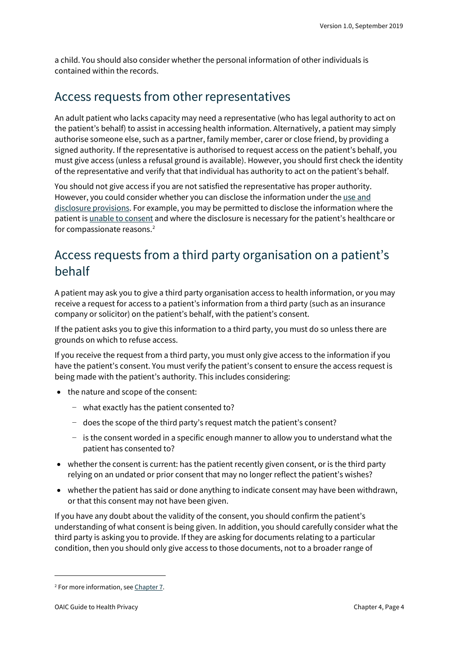a child. You should also consider whether the personal information of other individuals is contained within the records.

### <span id="page-3-0"></span>Access requests from other representatives

An adult patient who lacks capacity may need a representative (who has legal authority to act on the patient's behalf) to assist in accessing health information. Alternatively, a patient may simply authorise someone else, such as a partner, family member, carer or close friend, by providing a signed authority. If the representative is authorised to request access on the patient's behalf, you must give access (unless a refusal ground is available). However, you should first check the identity of the representative and verify that that individual has authority to act on the patient's behalf.

You should not give access if you are not satisfied the representative has proper authority. However, you could consider whether you can disclose the information under the use and [disclosure provisions.](https://oaic.gov.au/privacy/guidance-and-advice/guide-to-health-privacy/chapter-3-using-or-disclosing-health-information/) For example, you may be permitted to disclose the information where the patient is [unable to consent](https://oaic.gov.au/privacy/guidance-and-advice/guide-to-health-privacy/chapter-7-disclosing-information-about-patients-with-impaired-capacity/) and where the disclosure is necessary for the patient's healthcare or for compassionate reasons.<sup>[2](#page-3-2)</sup>

### <span id="page-3-1"></span>Access requests from a third party organisation on a patient's behalf

A patient may ask you to give a third party organisation access to health information, or you may receive a request for access to a patient's information from a third party (such as an insurance company or solicitor) on the patient's behalf, with the patient's consent.

If the patient asks you to give this information to a third party, you must do so unless there are grounds on which to refuse access.

If you receive the request from a third party, you must only give access to the information if you have the patient's consent. You must verify the patient's consent to ensure the access request is being made with the patient's authority. This includes considering:

- the nature and scope of the consent:
	- − what exactly has the patient consented to?
	- − does the scope of the third party's request match the patient's consent?
	- − is the consent worded in a specific enough manner to allow you to understand what the patient has consented to?
- whether the consent is current: has the patient recently given consent, or is the third party relying on an undated or prior consent that may no longer reflect the patient's wishes?
- whether the patient has said or done anything to indicate consent may have been withdrawn, or that this consent may not have been given.

If you have any doubt about the validity of the consent, you should confirm the patient's understanding of what consent is being given. In addition, you should carefully consider what the third party is asking you to provide. If they are asking for documents relating to a particular condition, then you should only give access to those documents, not to a broader range of

<span id="page-3-2"></span><sup>&</sup>lt;sup>2</sup> For more information, see [Chapter 7.](https://oaic.gov.au/privacy/guidance-and-advice/guide-to-health-privacy/chapter-7-disclosing-information-about-patients-with-impaired-capacity/)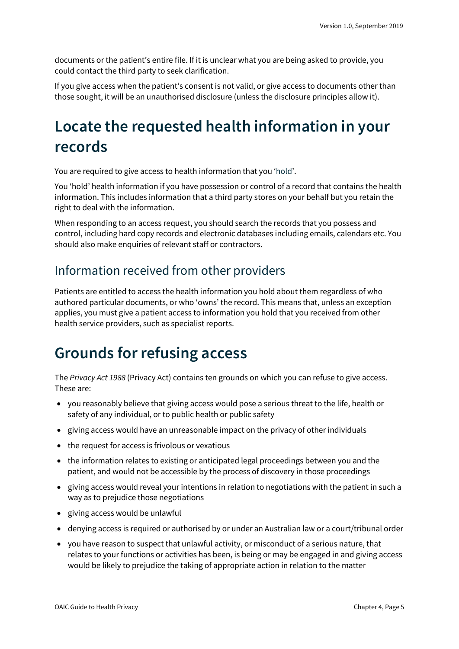documents or the patient's entire file. If it is unclear what you are being asked to provide, you could contact the third party to seek clarification.

If you give access when the patient's consent is not valid, or give access to documents other than those sought, it will be an unauthorised disclosure (unless the disclosure principles allow it).

## <span id="page-4-0"></span>**Locate the requested health information in your records**

You are required to give access to health information that you ['hold'](https://www.oaic.gov.au/agencies-and-organisations/app-guidelines/chapter-b-key-concepts%23holds).

You 'hold' health information if you have possession or control of a record that contains the health information. This includes information that a third party stores on your behalf but you retain the right to deal with the information.

When responding to an access request, you should search the records that you possess and control, including hard copy records and electronic databases including emails, calendars etc. You should also make enquiries of relevant staff or contractors.

### <span id="page-4-1"></span>Information received from other providers

Patients are entitled to access the health information you hold about them regardless of who authored particular documents, or who 'owns' the record. This means that, unless an exception applies, you must give a patient access to information you hold that you received from other health service providers, such as specialist reports.

## <span id="page-4-2"></span>**Grounds for refusing access**

The *Privacy Act 1988* (Privacy Act) contains ten grounds on which you can refuse to give access. These are:

- you reasonably believe that giving access would pose a serious threat to the life, health or safety of any individual, or to public health or public safety
- giving access would have an unreasonable impact on the privacy of other individuals
- the request for access is frivolous or vexatious
- the information relates to existing or anticipated legal proceedings between you and the patient, and would not be accessible by the process of discovery in those proceedings
- giving access would reveal your intentions in relation to negotiations with the patient in such a way as to prejudice those negotiations
- giving access would be unlawful
- denying access is required or authorised by or under an Australian law or a court/tribunal order
- you have reason to suspect that unlawful activity, or misconduct of a serious nature, that relates to your functions or activities has been, is being or may be engaged in and giving access would be likely to prejudice the taking of appropriate action in relation to the matter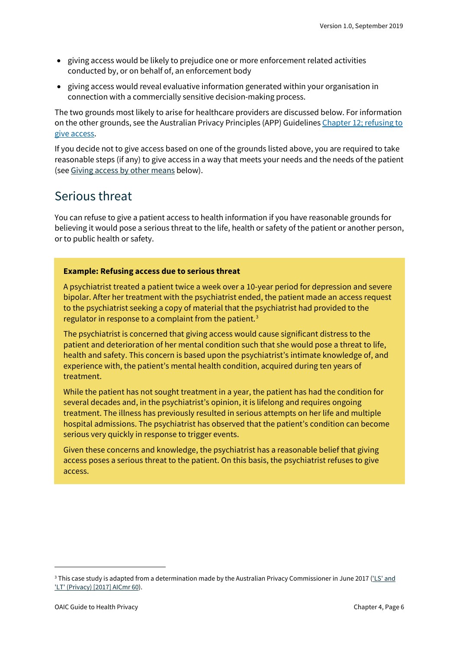- giving access would be likely to prejudice one or more enforcement related activities conducted by, or on behalf of, an enforcement body
- giving access would reveal evaluative information generated within your organisation in connection with a commercially sensitive decision-making process.

The two grounds most likely to arise for healthcare providers are discussed below. For information on the other grounds, see the Australian Privacy Principles (APP) Guideline[s Chapter](https://oaic.gov.au/privacy/australian-privacy-principles-guidelines/chapter-12-app-12-access-to-personal-information/#refusing-to-give-access-under-app-12-organisations) 12; refusing to give [access.](https://oaic.gov.au/privacy/australian-privacy-principles-guidelines/chapter-12-app-12-access-to-personal-information/#refusing-to-give-access-under-app-12-organisations)

If you decide not to give access based on one of the grounds listed above, you are required to take reasonable steps (if any) to give access in a way that meets your needs and the needs of the patient (see Giving access by other [means](#page-8-0) below).

### <span id="page-5-0"></span>Serious threat

You can refuse to give a patient access to health information if you have reasonable grounds for believing it would pose a serious threat to the life, health or safety of the patient or another person, or to public health or safety.

#### <span id="page-5-2"></span>**Example: Refusing access due to serious threat**

A psychiatrist treated a patient twice a week over a 10-year period for depression and severe bipolar. After her treatment with the psychiatrist ended, the patient made an access request to the psychiatrist seeking a copy of material that the psychiatrist had provided to the regulator in response to a complaint from the patient.<sup>[3](#page-5-1)</sup>

The psychiatrist is concerned that giving access would cause significant distress to the patient and deterioration of her mental condition such that she would pose a threat to life, health and safety. This concern is based upon the psychiatrist's intimate knowledge of, and experience with, the patient's mental health condition, acquired during ten years of treatment.

While the patient has not sought treatment in a year, the patient has had the condition for several decades and, in the psychiatrist's opinion, it is lifelong and requires ongoing treatment. The illness has previously resulted in serious attempts on her life and multiple hospital admissions. The psychiatrist has observed that the patient's condition can become serious very quickly in response to trigger events.

Given these concerns and knowledge, the psychiatrist has a reasonable belief that giving access poses a serious threat to the patient. On this basis, the psychiatrist refuses to give access.

<span id="page-5-1"></span><sup>&</sup>lt;sup>3</sup> This case study is adapted from a determination made by the Australian Privacy Commissioner in June 2017 (*'LS' and* ['LT' \(Privacy\) \[2017\] AICmr 60\)](http://www.austlii.edu.au/cgi-bin/viewdoc/au/cases/cth/AICmr/2017/60.html).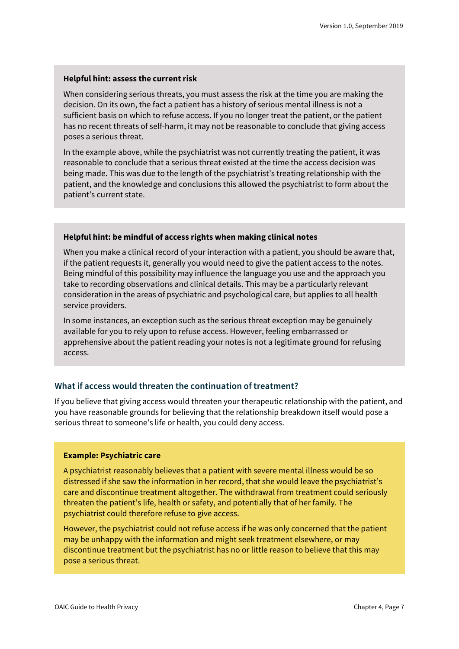#### **Helpful hint: assess the current risk**

When considering serious threats, you must assess the risk at the time you are making the decision. On its own, the fact a patient has a history of serious mental illness is not a sufficient basis on which to refuse access. If you no longer treat the patient, or the patient has no recent threats of self-harm, it may not be reasonable to conclude that giving access poses a serious threat.

In the example above, while the psychiatrist was not currently treating the patient, it was reasonable to conclude that a serious threat existed at the time the access decision was being made. This was due to the length of the psychiatrist's treating relationship with the patient, and the knowledge and conclusions this allowed the psychiatrist to form about the patient's current state.

#### **Helpful hint: be mindful of access rights when making clinical notes**

When you make a clinical record of your interaction with a patient, you should be aware that, if the patient requests it, generally you would need to give the patient access to the notes. Being mindful of this possibility may influence the language you use and the approach you take to recording observations and clinical details. This may be a particularly relevant consideration in the areas of psychiatric and psychological care, but applies to all health service providers.

In some instances, an exception such as the serious threat exception may be genuinely available for you to rely upon to refuse access. However, feeling embarrassed or apprehensive about the patient reading your notes is not a legitimate ground for refusing access.

#### **What if access would threaten the continuation of treatment?**

If you believe that giving access would threaten your therapeutic relationship with the patient, and you have reasonable grounds for believing that the relationship breakdown itself would pose a serious threat to someone's life or health, you could deny access.

#### **Example: Psychiatric care**

A psychiatrist reasonably believes that a patient with severe mental illness would be so distressed if she saw the information in her record, that she would leave the psychiatrist's care and discontinue treatment altogether. The withdrawal from treatment could seriously threaten the patient's life, health or safety, and potentially that of her family. The psychiatrist could therefore refuse to give access.

However, the psychiatrist could not refuse access if he was only concerned that the patient may be unhappy with the information and might seek treatment elsewhere, or may discontinue treatment but the psychiatrist has no or little reason to believe that this may pose a serious threat.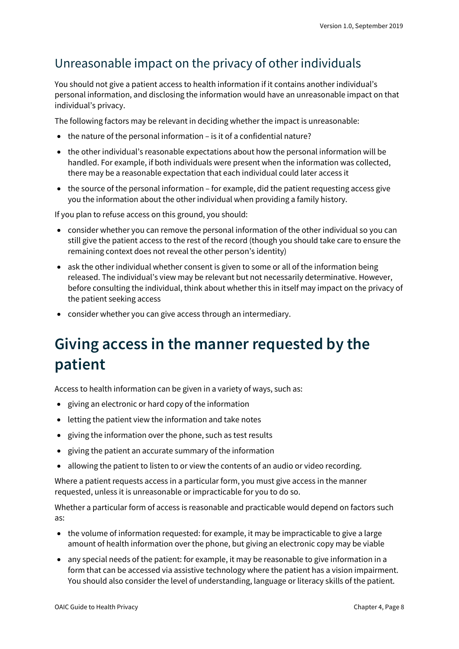### <span id="page-7-0"></span>Unreasonable impact on the privacy of other individuals

You should not give a patient access to health information if it contains another individual's personal information, and disclosing the information would have an unreasonable impact on that individual's privacy.

The following factors may be relevant in deciding whether the impact is unreasonable:

- the nature of the personal information is it of a confidential nature?
- the other individual's reasonable expectations about how the personal information will be handled. For example, if both individuals were present when the information was collected, there may be a reasonable expectation that each individual could later access it
- the source of the personal information for example, did the patient requesting access give you the information about the other individual when providing a family history.

If you plan to refuse access on this ground, you should:

- consider whether you can remove the personal information of the other individual so you can still give the patient access to the rest of the record (though you should take care to ensure the remaining context does not reveal the other person's identity)
- ask the other individual whether consent is given to some or all of the information being released. The individual's view may be relevant but not necessarily determinative. However, before consulting the individual, think about whether this in itself may impact on the privacy of the patient seeking access
- consider whether you can give access through an intermediary.

## <span id="page-7-1"></span>**Giving access in the manner requested by the patient**

Access to health information can be given in a variety of ways, such as:

- giving an electronic or hard copy of the information
- letting the patient view the information and take notes
- giving the information over the phone, such as test results
- giving the patient an accurate summary of the information
- allowing the patient to listen to or view the contents of an audio or video recording.

Where a patient requests access in a particular form, you must give access in the manner requested, unless it is unreasonable or impracticable for you to do so.

Whether a particular form of access is reasonable and practicable would depend on factors such as:

- the volume of information requested: for example, it may be impracticable to give a large amount of health information over the phone, but giving an electronic copy may be viable
- any special needs of the patient: for example, it may be reasonable to give information in a form that can be accessed via assistive technology where the patient has a vision impairment. You should also consider the level of understanding, language or literacy skills of the patient.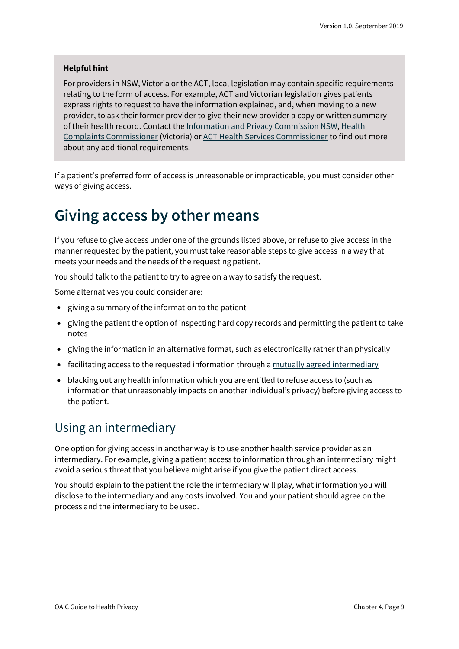#### **Helpful hint**

For providers in NSW, Victoria or the ACT, local legislation may contain specific requirements relating to the form of access. For example, ACT and Victorian legislation gives patients express rights to request to have the information explained, and, when moving to a new provider, to ask their former provider to give their new provider a copy or written summary of their health record. Contact the [Information and Privacy Commission NSW,](https://www.ipc.nsw.gov.au/) [Health](https://hcc.vic.gov.au/)  [Complaints Commissioner](https://hcc.vic.gov.au/) (Victoria) or [ACT Health Services Commissioner](https://hrc.act.gov.au/health/) to find out more about any additional requirements.

If a patient's preferred form of access is unreasonable or impracticable, you must consider other ways of giving access.

## <span id="page-8-0"></span>**Giving access by other means**

If you refuse to give access under one of the grounds listed above, or refuse to give access in the manner requested by the patient, you must take reasonable steps to give access in a way that meets your needs and the needs of the requesting patient.

You should talk to the patient to try to agree on a way to satisfy the request.

Some alternatives you could consider are:

- giving a summary of the information to the patient
- giving the patient the option of inspecting hard copy records and permitting the patient to take notes
- giving the information in an alternative format, such as electronically rather than physically
- facilitating access to the requested information through a [mutually agreed](https://www.oaic.gov.au/privacy/australian-privacy-principles-guidelines/chapter-12-app-12-access-to-personal-information/#giving-access-through-an-intermediary) intermediary
- blacking out any health information which you are entitled to refuse access to (such as information that unreasonably impacts on another individual's privacy) before giving access to the patient.

### <span id="page-8-1"></span>Using an intermediary

One option for giving access in another way is to use another health service provider as an intermediary. For example, giving a patient access to information through an intermediary might avoid a serious threat that you believe might arise if you give the patient direct access.

You should explain to the patient the role the intermediary will play, what information you will disclose to the intermediary and any costs involved. You and your patient should agree on the process and the intermediary to be used.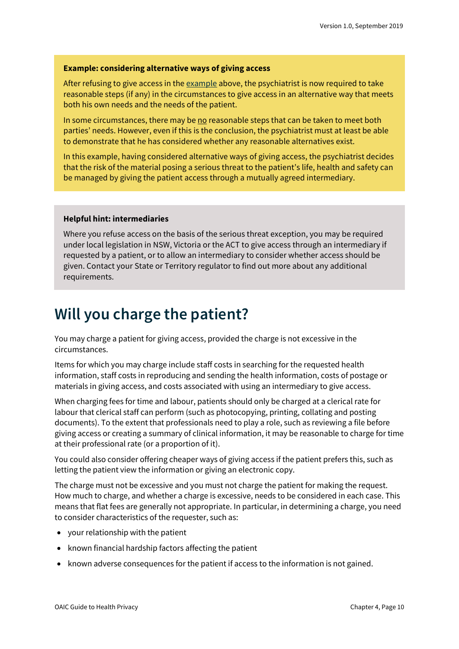#### <span id="page-9-1"></span>**Example: considering alternative ways of giving access**

After refusing to give access in th[e example](#page-5-2) above, the psychiatrist is now required to take reasonable steps (if any) in the circumstances to give access in an alternative way that meets both his own needs and the needs of the patient.

In some circumstances, there may be no reasonable steps that can be taken to meet both parties' needs. However, even if this is the conclusion, the psychiatrist must at least be able to demonstrate that he has considered whether any reasonable alternatives exist.

In this example, having considered alternative ways of giving access, the psychiatrist decides that the risk of the material posing a serious threat to the patient's life, health and safety can be managed by giving the patient access through a mutually agreed intermediary.

#### **Helpful hint: intermediaries**

Where you refuse access on the basis of the serious threat exception, you may be required under local legislation in NSW, Victoria or the ACT to give access through an intermediary if requested by a patient, or to allow an intermediary to consider whether access should be given. Contact your State or Territory regulator to find out more about any additional requirements.

### <span id="page-9-0"></span>**Will you charge the patient?**

You may charge a patient for giving access, provided the charge is not excessive in the circumstances.

Items for which you may charge include staff costs in searching for the requested health information, staff costs in reproducing and sending the health information, costs of postage or materials in giving access, and costs associated with using an intermediary to give access.

When charging fees for time and labour, patients should only be charged at a clerical rate for labour that clerical staff can perform (such as photocopying, printing, collating and posting documents). To the extent that professionals need to play a role, such as reviewing a file before giving access or creating a summary of clinical information, it may be reasonable to charge for time at their professional rate (or a proportion of it).

You could also consider offering cheaper ways of giving access if the patient prefers this, such as letting the patient view the information or giving an electronic copy.

The charge must not be excessive and you must not charge the patient for making the request. How much to charge, and whether a charge is excessive, needs to be considered in each case. This means that flat fees are generally not appropriate. In particular, in determining a charge, you need to consider characteristics of the requester, such as:

- your relationship with the patient
- known financial hardship factors affecting the patient
- known adverse consequences for the patient if access to the information is not gained.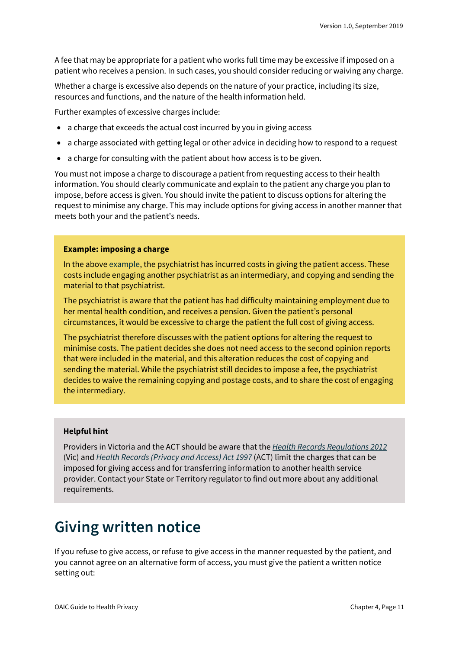A fee that may be appropriate for a patient who works full time may be excessive if imposed on a patient who receives a pension. In such cases, you should consider reducing or waiving any charge.

Whether a charge is excessive also depends on the nature of your practice, including its size, resources and functions, and the nature of the health information held.

Further examples of excessive charges include:

- a charge that exceeds the actual cost incurred by you in giving access
- a charge associated with getting legal or other advice in deciding how to respond to a request
- a charge for consulting with the patient about how access is to be given.

You must not impose a charge to discourage a patient from requesting access to their health information. You should clearly communicate and explain to the patient any charge you plan to impose, before access is given. You should invite the patient to discuss options for altering the request to minimise any charge. This may include options for giving access in another manner that meets both your and the patient's needs.

#### **Example: imposing a charge**

In the abov[e example,](#page-9-1) the psychiatrist has incurred costs in giving the patient access. These costs include engaging another psychiatrist as an intermediary, and copying and sending the material to that psychiatrist.

The psychiatrist is aware that the patient has had difficulty maintaining employment due to her mental health condition, and receives a pension. Given the patient's personal circumstances, it would be excessive to charge the patient the full cost of giving access.

The psychiatrist therefore discusses with the patient options for altering the request to minimise costs. The patient decides she does not need access to the second opinion reports that were included in the material, and this alteration reduces the cost of copying and sending the material. While the psychiatrist still decides to impose a fee, the psychiatrist decides to waive the remaining copying and postage costs, and to share the cost of engaging the intermediary.

#### **Helpful hint**

Providers in Victoria and the ACT should be aware that the *[Health Records Regulations 2012](http://classic.austlii.edu.au/au/legis/vic/consol_reg/hrr2012253/)* (Vic) and *[Health Records \(Privacy and Access\) Act 1997](https://www.legislation.act.gov.au/a/1997-125/)* (ACT) limit the charges that can be imposed for giving access and for transferring information to another health service provider. Contact your State or Territory regulator to find out more about any additional requirements.

### <span id="page-10-0"></span>**Giving written notice**

If you refuse to give access, or refuse to give access in the manner requested by the patient, and you cannot agree on an alternative form of access, you must give the patient a written notice setting out: